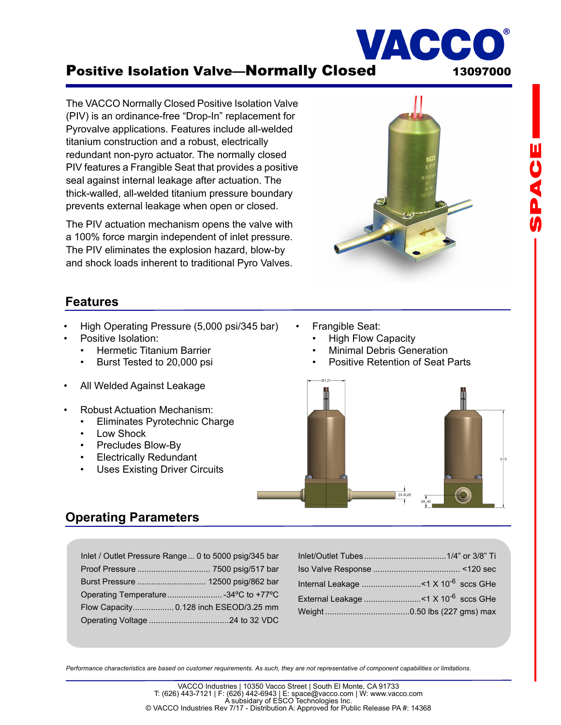# Positive Isolation Valve-Normally Closed 13097000

The VACCO Normally Closed Positive Isolation Valve (PIV) is an ordinance-free "Drop-In" replacement for Pyrovalve applications. Features include all-welded titanium construction and a robust, electrically redundant non-pyro actuator. The normally closed PIV features a Frangible Seat that provides a positive seal against internal leakage after actuation. The thick-walled, all-welded titanium pressure boundary prevents external leakage when open or closed.

The PIV actuation mechanism opens the valve with a 100% force margin independent of inlet pressure. The PIV eliminates the explosion hazard, blow-by and shock loads inherent to traditional Pyro Valves.

### **Features**

- High Operating Pressure (5,000 psi/345 bar)
- Positive Isolation:
	- Hermetic Titanium Barrier
	- Burst Tested to 20,000 psi
- All Welded Against Leakage
- Robust Actuation Mechanism:
	- Eliminates Pyrotechnic Charge
	- Low Shock
	- Precludes Blow-By
	- **Electrically Redundant**
	- Uses Existing Driver Circuits
- Frangible Seat:
	- High Flow Capacity
	- Minimal Debris Generation
	- Positive Retention of Seat Parts



# **Operating Parameters**

| Inlet / Outlet Pressure Range 0 to 5000 psig/345 bar |  |
|------------------------------------------------------|--|
|                                                      |  |
|                                                      |  |
| Operating Temperature34°C to +77°C                   |  |
| Flow Capacity 0.128 inch ESEOD/3.25 mm               |  |
|                                                      |  |
|                                                      |  |

| External Leakage < 1 X 10 <sup>-6</sup> sccs GHe |  |
|--------------------------------------------------|--|
|                                                  |  |

*Performance characteristics are based on customer requirements. As such, they are not representative of component capabilities or limitations.* 

VACC

®